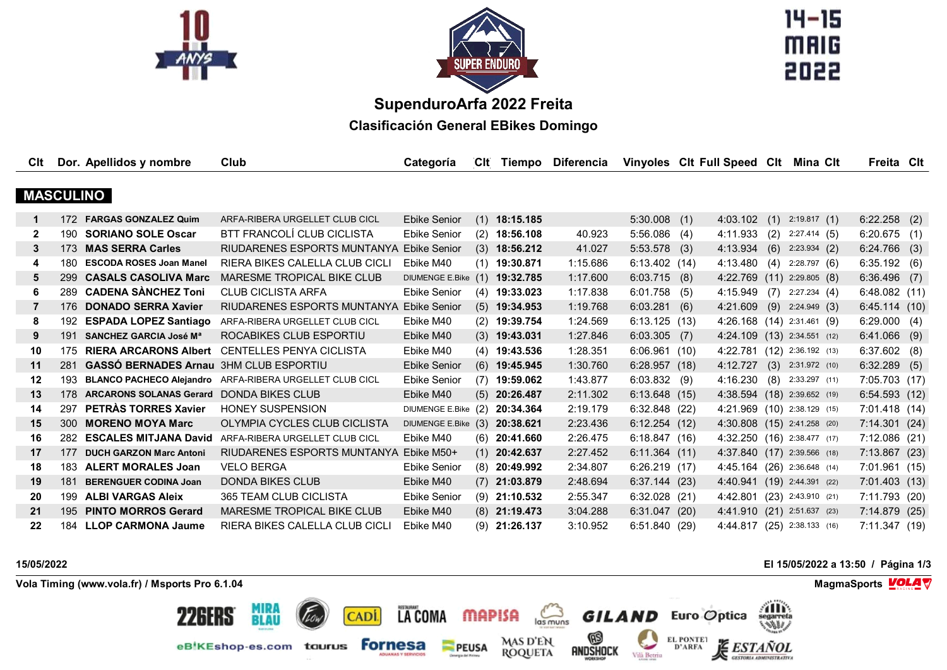



 $14 - 15$ MAIG 

## **SupenduroArfa 2022 Freita**

**Clasificación General EBikes Domingo**

| Clt              |     | Dor. Apellidos y nombre                       | Club                                                    | Categoría           | <b>CIt</b> | Tiempo          | <b>Diferencia</b> |                 | Vinyoles Clt Full Speed Clt |     | Mina Clt                    | Freita Cit     |     |
|------------------|-----|-----------------------------------------------|---------------------------------------------------------|---------------------|------------|-----------------|-------------------|-----------------|-----------------------------|-----|-----------------------------|----------------|-----|
|                  |     |                                               |                                                         |                     |            |                 |                   |                 |                             |     |                             |                |     |
| <b>MASCULINO</b> |     |                                               |                                                         |                     |            |                 |                   |                 |                             |     |                             |                |     |
| $\mathbf 1$      | 172 | <b>FARGAS GONZALEZ Quim</b>                   | ARFA-RIBERA URGELLET CLUB CICL                          | <b>Ebike Senior</b> | (1)        | 18:15.185       |                   | $5:30.008$ (1)  | 4:03.102                    | (1) | 2:19.817(1)                 | 6:22.258       | (2) |
| 2                | 190 | <b>SORIANO SOLE Oscar</b>                     | BTT FRANCOLÍ CLUB CICLISTA                              | <b>Ebike Senior</b> | (2)        | 18:56.108       | 40.923            | $5:56.086$ (4)  | 4:11.933                    | (2) | 2:27.414(5)                 | $6:20.675$ (1) |     |
| 3                |     | 173 MAS SERRA Carles                          | RIUDARENES ESPORTS MUNTANYA                             | <b>Ebike Senior</b> |            | $(3)$ 18:56.212 | 41.027            | $5:53.578$ (3)  | 4:13.934                    | (6) | 2:23.934(2)                 | 6:24.766       | (3) |
| 4                | 180 | <b>ESCODA ROSES Joan Manel</b>                | RIERA BIKES CALELLA CLUB CICLI                          | Ebike M40           |            | $(1)$ 19:30.871 | 1:15.686          | 6:13.402 (14)   | 4:13.480(4)                 |     | 2:28.797(6)                 | 6:35.192       | (6) |
| 5                | 299 | <b>CASALS CASOLIVA Marc</b>                   | MARESME TROPICAL BIKE CLUB                              | DIUMENGE E.Bike (1) |            | 19:32.785       | 1:17.600          | $6:03.715$ (8)  |                             |     | 4:22.769 (11) 2:29.805 (8)  | 6:36.496       | (7) |
| 6                |     | 289 CADENA SÀNCHEZ Toni                       | <b>CLUB CICLISTA ARFA</b>                               | Ebike Senior        |            | $(4)$ 19:33.023 | 1:17.838          | $6:01.758$ (5)  | $4:15.949$ (7)              |     | 2:27.234(4)                 | 6:48.082(11)   |     |
| 7                | 176 | <b>DONADO SERRA Xavier</b>                    | RIUDARENES ESPORTS MUNTANYA                             | <b>Ebike Senior</b> |            | $(5)$ 19:34.953 | 1:19.768          | $6:03.281$ (6)  | 4:21.609                    |     | $(9)$ 2:24.949 $(3)$        | 6:45.114(10)   |     |
| 8                | 192 | <b>ESPADA LOPEZ Santiago</b>                  | ARFA-RIBERA URGELLET CLUB CICL                          | Ebike M40           |            | $(2)$ 19:39.754 | 1:24.569          | 6:13.125(13)    |                             |     | 4:26.168 (14) 2:31.461 (9)  | 6:29.000(4)    |     |
| 9                | 191 | SANCHEZ GARCIA José Mª                        | ROCABIKES CLUB ESPORTIU                                 | Ebike M40           |            | $(3)$ 19:43.031 | 1:27.846          | $6:03.305$ (7)  |                             |     | 4:24.109 (13) 2:34.551 (12) | 6:41.066       | (9) |
| 10               | 175 | <b>RIERA ARCARONS Albert</b>                  | CENTELLES PENYA CICLISTA                                | Ebike M40           |            | $(4)$ 19:43.536 | 1:28.351          | 6:06.961(10)    |                             |     | 4:22.781 (12) 2:36.192 (13) | $6:37.602$ (8) |     |
| 11               | 281 | <b>GASSÓ BERNADES Arnau 3HM CLUB ESPORTIU</b> |                                                         | <b>Ebike Senior</b> |            | $(6)$ 19:45.945 | 1:30.760          | 6:28.957(18)    | 4:12.727                    |     | $(3)$ 2:31.972 (10)         | 6:32.289       | (5) |
| 12               | 193 |                                               | BLANCO PACHECO Alejandro ARFA-RIBERA URGELLET CLUB CICL | <b>Ebike Senior</b> |            | $(7)$ 19:59.062 | 1:43.877          | $6:03.832$ (9)  | 4:16.230(8)                 |     | 2:33.297 (11)               | 7:05.703 (17)  |     |
| 13               | 178 | ARCARONS SOLANAS Gerard DONDA BIKES CLUB      |                                                         | Ebike M40           |            | $(5)$ 20:26.487 | 2:11.302          | 6:13.648(15)    |                             |     | 4:38.594 (18) 2:39.652 (19) | 6:54.593(12)   |     |
| 14               | 297 | PETRÀS TORRES Xavier                          | <b>HONEY SUSPENSION</b>                                 | DIUMENGE E.Bike (2) |            | 20:34.364       | 2:19.179          | 6:32.848(22)    |                             |     | 4:21.969 (10) 2:38.129 (15) | 7:01.418 (14)  |     |
| 15               | 300 | <b>MORENO MOYA Marc</b>                       | OLYMPIA CYCLES CLUB CICLISTA                            | DIUMENGE E.Bike (3) |            | 20:38.621       | 2:23.436          | 6:12.254(12)    |                             |     | 4:30.808 (15) 2:41.258 (20) | 7:14.301(24)   |     |
| 16               | 282 | <b>ESCALES MITJANA David</b>                  | ARFA-RIBERA URGELLET CLUB CICL                          | Ebike M40           |            | $(6)$ 20:41.660 | 2:26.475          | 6:18.847(16)    |                             |     | 4:32.250 (16) 2:38.477 (17) | 7:12.086 (21)  |     |
| 17               | 177 | <b>DUCH GARZON Marc Antoni</b>                | RIUDARENES ESPORTS MUNTANYA                             | Ebike M50+          |            | $(1)$ 20:42.637 | 2:27.452          | 6:11.364(11)    |                             |     | 4:37.840 (17) 2:39.566 (18) | 7:13.867 (23)  |     |
| 18               | 183 | <b>ALERT MORALES Joan</b>                     | <b>VELO BERGA</b>                                       | <b>Ebike Senior</b> |            | $(8)$ 20:49.992 | 2:34.807          | 6:26.219 (17)   |                             |     | 4:45.164 (26) 2:36.648 (14) | 7:01.961(15)   |     |
| 19               | 181 | <b>BERENGUER CODINA Joan</b>                  | <b>DONDA BIKES CLUB</b>                                 | Ebike M40           |            | $(7)$ 21:03.879 | 2:48.694          | 6:37.144(23)    |                             |     | 4:40.941 (19) 2:44.391 (22) | 7:01.403(13)   |     |
| 20               | 199 | <b>ALBI VARGAS Aleix</b>                      | <b>365 TEAM CLUB CICLISTA</b>                           | <b>Ebike Senior</b> |            | $(9)$ 21:10.532 | 2:55.347          | $6:32.028$ (21) | 4:42.801                    |     | $(23)$ 2:43.910 (21)        | 7:11.793 (20)  |     |
| 21               |     | 195 PINTO MORROS Gerard                       | MARESME TROPICAL BIKE CLUB                              | Ebike M40           |            | $(8)$ 21:19.473 | 3:04.288          | 6:31.047(20)    |                             |     | 4:41.910 (21) 2:51.637 (23) | 7:14.879(25)   |     |
| 22               | 184 | <b>LLOP CARMONA Jaume</b>                     | RIERA BIKES CALELLA CLUB CICLI                          | Ebike M40           | (9)        | 21:26.137       | 3:10.952          | 6:51.840(29)    |                             |     | 4:44.817 (25) 2:38.133 (16) | 7:11.347(19)   |     |

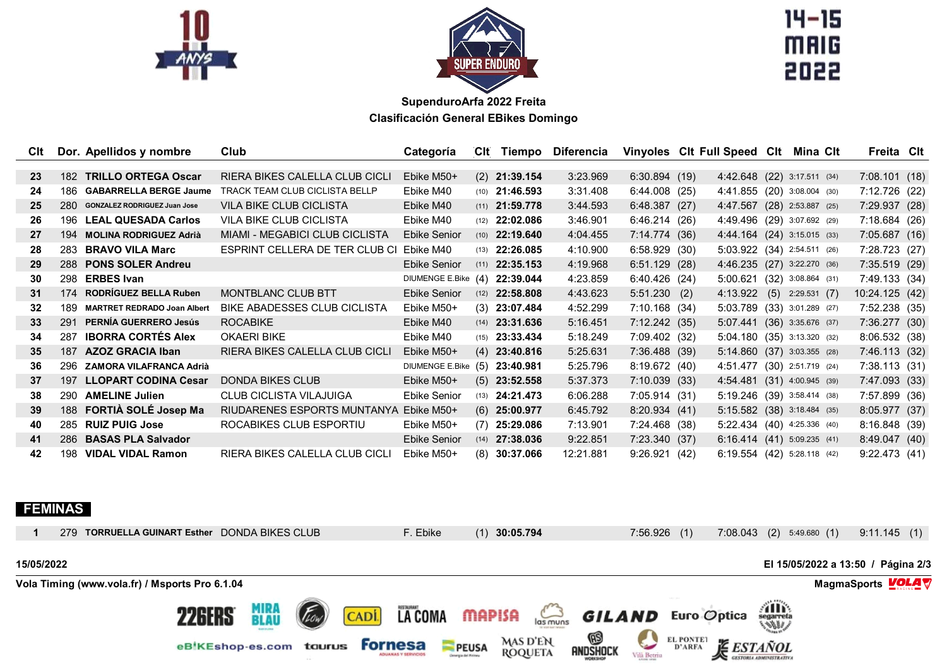



 $14 - 15$ **MAIG** 

## **SupenduroArfa 2022 Freita Clasificación General EBikes Domingo**

| Clt |     | Dor. Apellidos y nombre             | Club                                  | Categoría              | <b>CIt</b> | Tiempo                  | Diferencia | Vinyoles CIt Full Speed CIt |                               | Mina Clt | Freita Cit     |  |
|-----|-----|-------------------------------------|---------------------------------------|------------------------|------------|-------------------------|------------|-----------------------------|-------------------------------|----------|----------------|--|
|     |     |                                     |                                       |                        |            |                         |            |                             |                               |          |                |  |
| 23  | 182 | <b>TRILLO ORTEGA Oscar</b>          | RIERA BIKES CALELLA CLUB CICLI        | Ebike M50+             |            | $(2)$ 21:39.154         | 3:23.969   | 6:30.894(19)                | 4:42.648 (22) 3:17.511 (34)   |          | 7:08.101(18)   |  |
| 24  | 186 | <b>GABARRELLA BERGE Jaume</b>       | <b>TRACK TEAM CLUB CICLISTA BELLP</b> | Ebike M40              |            | $(10)$ <b>21:46.593</b> | 3:31.408   | 6:44.008(25)                | 4:41.855 (20) 3:08.004 (30)   |          | 7:12.726 (22)  |  |
| 25  | 280 | <b>GONZALEZ RODRIGUEZ Juan Jose</b> | <b>VILA BIKE CLUB CICLISTA</b>        | Ebike M40              |            | $(11)$ <b>21:59.778</b> | 3:44.593   | 6:48.387(27)                | 4:47.567 (28) 2:53.887 (25)   |          | 7:29.937 (28)  |  |
| 26  |     | 196 LEAL QUESADA Carlos             | <b>VILA BIKE CLUB CICLISTA</b>        | Ebike M40              |            | $(12)$ <b>22:02.086</b> | 3:46.901   | 6:46.214 (26)               | 4:49.496 (29) 3:07.692 (29)   |          | 7:18.684 (26)  |  |
| 27  |     | 194 MOLINA RODRIGUEZ Adrià          | MIAMI - MEGABICI CLUB CICLISTA        | <b>Ebike Senior</b>    |            | $(10)$ <b>22:19.640</b> | 4:04.455   | 7:14.774(36)                | 4:44.164 (24) 3:15.015 (33)   |          | 7:05.687(16)   |  |
| 28  | 283 | <b>BRAVO VILA Marc</b>              | ESPRINT CELLERA DE TER CLUB CI        | Ebike M40              | (13)       | 22:26.085               | 4:10.900   | 6:58.929(30)                | 5:03.922 (34) 2:54.511 (26)   |          | 7:28.723 (27)  |  |
| 29  |     | 288 PONS SOLER Andreu               |                                       | <b>Ebike Senior</b>    |            | $(11)$ <b>22:35.153</b> | 4:19.968   | 6:51.129 (28)               | 4:46.235 (27) 3:22.270 (36)   |          | 7:35.519(29)   |  |
| 30  |     | 298 ERBES Ivan                      |                                       | <b>DIUMENGE E.Bike</b> | (4)        | 22:39.044               | 4:23.859   | 6:40.426 (24)               | 5:00.621 (32) 3:08.864 (31)   |          | 7:49.133 (34)  |  |
| 31  |     | 174 RODRÍGUEZ BELLA Ruben           | MONTBLANC CLUB BTT                    | <b>Ebike Senior</b>    |            | $(12)$ <b>22:58.808</b> | 4:43.623   | $5:51.230$ (2)              | 4:13.922 (5) 2:29.531 (7)     |          | 10:24.125 (42) |  |
| 32  | 189 | <b>MARTRET REDRADO Joan Albert</b>  | <b>BIKE ABADESSES CLUB CICLISTA</b>   | Ebike M50+             |            | $(3)$ 23:07.484         | 4:52.299   | 7:10.168 (34)               | 5:03.789 (33) 3:01.289 (27)   |          | 7:52.238 (35)  |  |
| 33  | 291 | PERNÍA GUERRERO Jesús               | <b>ROCABIKE</b>                       | Ebike M40              |            | $(14)$ <b>23:31.636</b> | 5:16.451   | 7:12.242 (35)               | 5:07.441 (36) 3:35.676 (37)   |          | 7:36.277 (30)  |  |
| 34  | 287 | <b>IBORRA CORTÉS Alex</b>           | <b>OKAERI BIKE</b>                    | Ebike M40              |            | $(15)$ <b>23:33.434</b> | 5:18.249   | 7:09.402 (32)               | 5:04.180 (35) 3:13.320 (32)   |          | 8:06.532(38)   |  |
| 35  | 187 | <b>AZOZ GRACIA Iban</b>             | RIERA BIKES CALELLA CLUB CICLI        | Ebike M50+             |            | $(4)$ 23:40.816         | 5:25.631   | 7:36.488 (39)               | 5:14.860 (37) 3:03.355 (28)   |          | 7:46.113 (32)  |  |
| 36  |     | 296 ZAMORA VILAFRANCA Adrià         |                                       | <b>DIUMENGE E.Bike</b> | (5)        | 23:40.981               | 5:25.796   | 8:19.672(40)                | 4:51.477 (30) 2:51.719 (24)   |          | 7:38.113(31)   |  |
| 37  | 197 | <b>LLOPART CODINA Cesar</b>         | DONDA BIKES CLUB                      | Ebike M50+             |            | $(5)$ 23:52.558         | 5:37.373   | 7:10.039(33)                | 4:54.481 (31) 4:00.945 (39)   |          | 7:47.093 (33)  |  |
| 38  |     | 290 AMELINE Julien                  | <b>CLUB CICLISTA VILAJUIGA</b>        | <b>Ebike Senior</b>    |            | $(13)$ <b>24:21.473</b> | 6:06.288   | 7:05.914(31)                | 5:19.246 (39) 3:58.414 (38)   |          | 7:57.899 (36)  |  |
| 39  | 188 | FORTIÀ SOLÉ Josep Ma                | RIUDARENES ESPORTS MUNTANYA           | Ebike M50+             |            | $(6)$ 25:00.977         | 6:45.792   | 8:20.934 (41)               | 5:15.582 (38) 3:18.484 (35)   |          | 8:05.977 (37)  |  |
| 40  | 285 | <b>RUIZ PUIG Jose</b>               | ROCABIKES CLUB ESPORTIU               | Ebike M50+             |            | $(7)$ 25:29.086         | 7:13.901   | 7:24.468 (38)               | 5:22.434 (40) 4:25.336 (40)   |          | 8:16.848 (39)  |  |
| 41  |     | 286 BASAS PLA Salvador              |                                       | <b>Ebike Senior</b>    |            | $(14)$ <b>27:38.036</b> | 9:22.851   | 7:23.340 (37)               | $6:16.414$ (41) 5:09.235 (41) |          | 8:49.047(40)   |  |
| 42  | 198 | <b>VIDAL VIDAL Ramon</b>            | RIERA BIKES CALELLA CLUB CICLI        | Ebike M50+             |            | $(8)$ 30:37.066         | 12:21.881  | 9:26.921(42)                | 6:19.554 (42) 5:28.118 (42)   |          | 9:22.473(41)   |  |

## **FEMINAS**